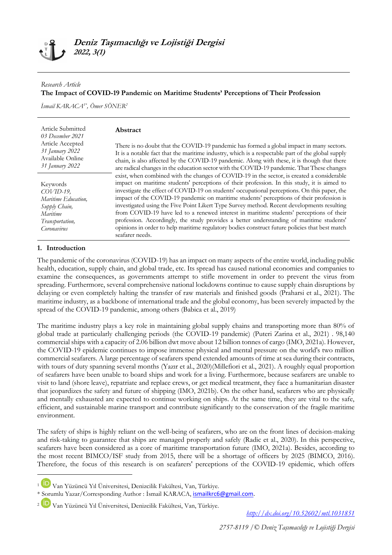## *Research Article* **The Impact of COVID-19 Pandemic on Maritime Students' Perceptions of Their Profession**

*İsmail KARACA1\* , Ömer SÖNER<sup>2</sup>*

| Article Submitted<br>03 December 2021<br>Article Accepted<br>31 January 2022<br>Available Online<br>31 January 2022 | <b>Abstract</b><br>There is no doubt that the COVID-19 pandemic has formed a global impact in many sectors.<br>It is a notable fact that the maritime industry, which is a respectable part of the global supply<br>chain, is also affected by the COVID-19 pandemic. Along with these, it is though that there                                                                                                                                                                                                                                                                                                                                                                                                                                                                                                                                                                               |
|---------------------------------------------------------------------------------------------------------------------|-----------------------------------------------------------------------------------------------------------------------------------------------------------------------------------------------------------------------------------------------------------------------------------------------------------------------------------------------------------------------------------------------------------------------------------------------------------------------------------------------------------------------------------------------------------------------------------------------------------------------------------------------------------------------------------------------------------------------------------------------------------------------------------------------------------------------------------------------------------------------------------------------|
| Keywords<br>$COVID-19$ ,<br>Maritime Education,<br>Supply Chain,<br>Maritime<br>Transportation,<br>Coronavirus      | are radical changes in the education sector with the COVID-19 pandemic. That These changes<br>exist, when combined with the changes of COVID-19 in the sector, is created a considerable<br>impact on maritime students' perceptions of their profession. In this study, it is aimed to<br>investigate the effect of COVID-19 on students' occupational perceptions. On this paper, the<br>impact of the COVID-19 pandemic on maritime students' perceptions of their profession is<br>investigated using the Five Point Likert Type Survey method. Recent developments resulting<br>from COVID-19 have led to a renewed interest in maritime students' perceptions of their<br>profession. Accordingly, the study provides a better understanding of maritime students'<br>opinions in order to help maritime regulatory bodies construct future policies that best match<br>seafarer needs. |

# **1. Introduction**

**.** 

The pandemic of the coronavirus (COVID-19) has an impact on many aspects of the entire world, including public health, education, supply chain, and global trade, etc. Its spread has caused national economies and companies to examine the consequences, as governments attempt to stifle movement in order to prevent the virus from spreading. Furthermore, several comprehensive national lockdowns continue to cause supply chain disruptions by delaying or even completely halting the transfer of raw materials and finished goods (Praharsi et al., 2021). The maritime industry, as a backbone of international trade and the global economy, has been severely impacted by the spread of the COVID-19 pandemic, among others (Babica et al., 2019)

The maritime industry plays a key role in maintaining global supply chains and transporting more than 80% of global trade at particularly challenging periods (the COVID-19 pandemic) (Puteri Zarina et al., 2021) . 98,140 commercial ships with a capacity of 2.06 billion dwt move about 12 billion tonnes of cargo (IMO, 2021a). However, the COVID-19 epidemic continues to impose immense physical and mental pressure on the world's two million commercial seafarers. A large percentage of seafarers spend extended amounts of time at sea during their contracts, with tours of duty spanning several months (Yazır et al., 2020)(Millefiori et al., 2021). A roughly equal proportion of seafarers have been unable to board ships and work for a living. Furthermore, because seafarers are unable to visit to land (shore leave), repatriate and replace crews, or get medical treatment, they face a humanitarian disaster that jeopardizes the safety and future of shipping (IMO, 2021b). On the other hand, seafarers who are physically and mentally exhausted are expected to continue working on ships. At the same time, they are vital to the safe, efficient, and sustainable marine transport and contribute significantly to the conservation of the fragile maritime environment.

The safety of ships is highly reliant on the well-being of seafarers, who are on the front lines of decision-making and risk-taking to guarantee that ships are managed properly and safely (Radic et al., 2020). In this perspective, seafarers have been considered as a core of maritime transportation future (IMO, 2021a). Besides, according to the most recent BIMCO/ISF study from 2015, there will be a shortage of officers by 2025 (BIMCO, 2016). Therefore, the focus of this research is on seafarers' perceptions of the COVID-19 epidemic, which offers

*<http://dx.doi.org/10.52602/mtl.1031851>*

<sup>1</sup> Van Yüzüncü Yıl Üniversitesi, Denizcilik Fakültesi, Van, Türkiye.

<sup>\*</sup> Sorumlu Yazar/Corresponding Author : İsmail KARACA, [ismailkrc6@gmail.com.](mailto:ismailkrc6@gmail.com)

<sup>2</sup> Van Yüzüncü Yıl Üniversitesi, Denizcilik Fakültesi, Van, Türkiye.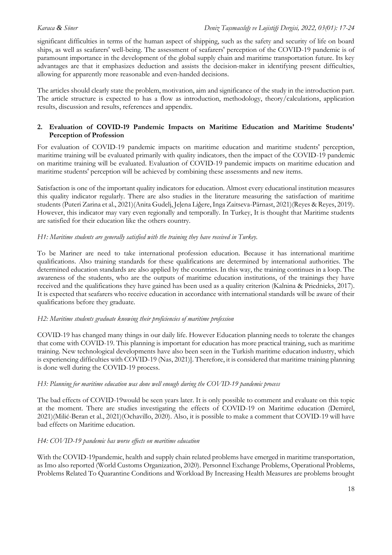significant difficulties in terms of the human aspect of shipping, such as the safety and security of life on board ships, as well as seafarers' well-being. The assessment of seafarers' perception of the COVID-19 pandemic is of paramount importance in the development of the global supply chain and maritime transportation future. Its key advantages are that it emphasizes deduction and assists the decision-maker in identifying present difficulties, allowing for apparently more reasonable and even-handed decisions.

The articles should clearly state the problem, motivation, aim and significance of the study in the introduction part. The article structure is expected to has a flow as introduction, methodology, theory/calculations, application results, discussion and results, references and appendix.

## **2. Evaluation of COVID-19 Pandemic Impacts on Maritime Education and Maritime Students' Perception of Profession**

For evaluation of COVID-19 pandemic impacts on maritime education and maritime students' perception, maritime training will be evaluated primarily with quality indicators, then the impact of the COVID-19 pandemic on maritime training will be evaluated. Evaluation of COVID-19 pandemic impacts on maritime education and maritime students' perception will be achieved by combining these assessments and new items.

Satisfaction is one of the important quality indicators for education. Almost every educational institution measures this quality indicator regularly. There are also studies in the literature measuring the satisfaction of maritime students (Puteri Zarina et al., 2021)(Anita Gudelj, Jeļena Liģere, Inga Zaitseva-Pärnast, 2021)(Reyes & Reyes, 2019). However, this indicator may vary even regionally and temporally. In Turkey, It is thought that Maritime students are satisfied for their education like the others country.

## *H1: Maritime students are generally satisfied with the training they have received in Turkey.*

To be Mariner are need to take international profession education. Because it has international maritime qualifications. Also training standards for these qualifications are determined by international authorities. The determined education standards are also applied by the countries. In this way, the training continues in a loop. The awareness of the students, who are the outputs of maritime education institutions, of the trainings they have received and the qualifications they have gained has been used as a quality criterion (Kalnina & Priednieks, 2017). It is expected that seafarers who receive education in accordance with international standards will be aware of their qualifications before they graduate.

## *H2: Maritime students graduate knowing their proficiencies of maritime profession*

COVID-19 has changed many things in our daily life. However Education planning needs to tolerate the changes that come with COVID-19. This planning is important for education has more practical training, such as maritime training. New technological developments have also been seen in the Turkish maritime education industry, which is experiencing difficulties with COVID-19 (Nas, 2021)]. Therefore, it is considered that maritime training planning is done well during the COVID-19 process.

## *H3: Planning for maritime education was done well enough during the COVID-19 pandemic process*

The bad effects of COVID-19would be seen years later. It is only possible to comment and evaluate on this topic at the moment. There are studies investigating the effects of COVID-19 on Maritime education (Demirel, 2021)(Milić-Beran et al., 2021)(Ochavillo, 2020). Also, it is possible to make a comment that COVID-19 will have bad effects on Maritime education.

## *H4: COVID-19 pandemic has worse effects on maritime education*

With the COVID-19pandemic, health and supply chain related problems have emerged in maritime transportation, as Imo also reported (World Customs Organization, 2020). Personnel Exchange Problems, Operational Problems, Problems Related To Quarantine Conditions and Workload By Increasing Health Measures are problems brought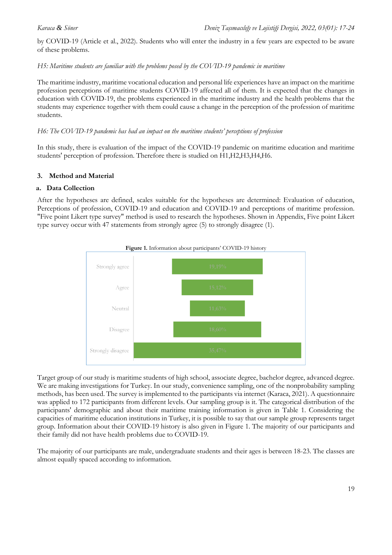by COVID-19 (Article et al., 2022). Students who will enter the industry in a few years are expected to be aware of these problems.

*H5: Maritime students are familiar with the problems posed by the COVID-19 pandemic in maritime*

The maritime industry, maritime vocational education and personal life experiences have an impact on the maritime profession perceptions of maritime students COVID-19 affected all of them. It is expected that the changes in education with COVID-19, the problems experienced in the maritime industry and the health problems that the students may experience together with them could cause a change in the perception of the profession of maritime students.

#### *H6: The COVID-19 pandemic has had an impact on the maritime students' perceptions of profession*

In this study, there is evaluation of the impact of the COVID-19 pandemic on maritime education and maritime students' perception of profession. Therefore there is studied on H1,H2,H3,H4,H6.

## **3. Method and Material**

## **a. Data Collection**

After the hypotheses are defined, scales suitable for the hypotheses are determined: Evaluation of education, Perceptions of profession, COVID-19 and education and COVID-19 and perceptions of maritime profession. "Five point Likert type survey" method is used to research the hypotheses. Shown in Appendix, Five point Likert type survey occur with 47 statements from strongly agree (5) to strongly disagree (1).



Target group of our study is maritime students of high school, associate degree, bachelor degree, advanced degree. We are making investigations for Turkey. In our study, convenience sampling, one of the nonprobability sampling methods, has been used. The survey is implemented to the participants via internet (Karaca, 2021). A questionnaire was applied to 172 participants from different levels. Our sampling group is it. The categorical distribution of the participants' demographic and about their maritime training information is given in Table 1. Considering the capacities of maritime education institutions in Turkey, it is possible to say that our sample group represents target group. Information about their COVID-19 history is also given in Figure 1. The majority of our participants and their family did not have health problems due to COVID-19.

The majority of our participants are male, undergraduate students and their ages is between 18-23. The classes are almost equally spaced according to information.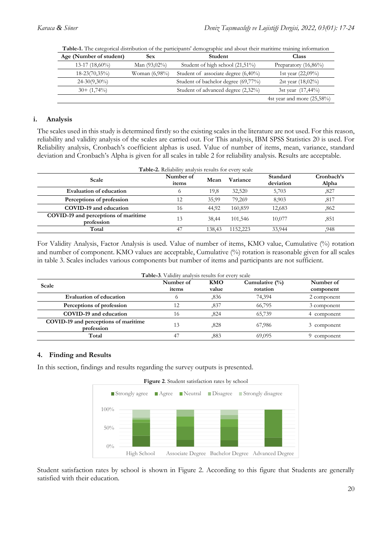| Age (Number of student) | <b>Sex</b>       | Student                             | <b>Class</b>               |
|-------------------------|------------------|-------------------------------------|----------------------------|
| $13-17(18,60\%)$        | Man $(93,02\%)$  | Student of high school (21,51%)     | Preparatory $(16,86\%)$    |
| $18 - 23(70,35\%)$      | Woman $(6,98\%)$ | Student of associate degree (6,40%) | 1st year $(22,09\%)$       |
| $24-30(9,30\%)$         |                  | Student of bachelor degree (69,77%) | 2st year $(18,02\%)$       |
| $30 + (1,74\%)$         |                  | Student of advanced degree (2,32%)  | 3st year (17,44%)          |
|                         |                  |                                     | 4st year and more (25,58%) |

**Table-1.** The categorical distribution of the participants' demographic and about their maritime training information

#### **i. Analysis**

The scales used in this study is determined firstly so the existing scales in the literature are not used. For this reason, reliability and validity analysis of the scales are carried out. For This analysis, IBM SPSS Statistics 20 is used. For Reliability analysis, Cronbach's coefficient alphas is used. Value of number of items, mean, variance, standard deviation and Cronbach's Alpha is given for all scales in table 2 for reliability analysis. Results are acceptable.

| <b>Table-2.</b> Reliability analysis results for every scale |                    |        |          |                       |                     |
|--------------------------------------------------------------|--------------------|--------|----------|-----------------------|---------------------|
| Scale                                                        | Number of<br>items | Mean   | Variance | Standard<br>deviation | Cronbach's<br>Alpha |
| <b>Evaluation of education</b>                               |                    | 19,8   | 32,520   | 5,703                 | ,827                |
| Perceptions of profession                                    | 12                 | 35.99  | 79.269   | 8.903                 | ,817                |
| COVID-19 and education                                       | 16                 | 44,92  | 160,859  | 12,683                | ,862                |
| COVID-19 and perceptions of maritime<br>profession           | 13                 | 38.44  | 101,546  | 10,077                | ,851                |
| Total                                                        | 47                 | 138.43 | 1152,223 | 33,944                | 948.                |

For Validity Analysis, Factor Analysis is used. Value of number of items, KMO value, Cumulative (%) rotation and number of component. KMO values are acceptable, Cumulative (%) rotation is reasonable given for all scales in table 3. Scales includes various components but number of items and participants are not sufficient.

| Table-3. Validity analysis results for every scale |           |       |                    |             |
|----------------------------------------------------|-----------|-------|--------------------|-------------|
| Scale                                              | Number of | KMO   | Cumulative $(\% )$ | Number of   |
|                                                    | items     | value | rotation           | component   |
| <b>Evaluation of education</b>                     |           | .836  | 74,394             | 2 component |
| Perceptions of profession                          | 12        | ,837  | 66,795             | 3 component |
| COVID-19 and education                             | 16        | .824  | 65,739             | 4 component |
| COVID-19 and perceptions of maritime<br>profession | 13        | .828  | 67,986             | 3 component |
| Total                                              | 47        | .883  | 69,095             | 9 component |

## **4. Finding and Results**

In this section, findings and results regarding the survey outputs is presented.



Student satisfaction rates by school is shown in Figure 2. According to this figure that Students are generally satisfied with their education.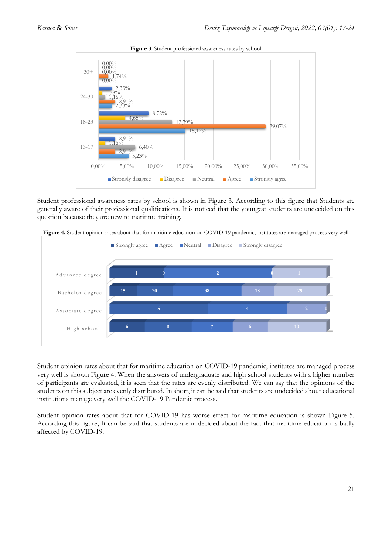

**Figure 3**. Student professional awareness rates by school

Student professional awareness rates by school is shown in Figure 3. According to this figure that Students are generally aware of their professional qualifications. It is noticed that the youngest students are undecided on this question because they are new to maritime training.

**Figure 4.** Student opinion rates about that for maritime education on COVID-19 pandemic, institutes are managed process very well



Student opinion rates about that for maritime education on COVID-19 pandemic, institutes are managed process very well is shown Figure 4. When the answers of undergraduate and high school students with a higher number of participants are evaluated, it is seen that the rates are evenly distributed. We can say that the opinions of the students on this subject are evenly distributed. In short, it can be said that students are undecided about educational institutions manage very well the COVID-19 Pandemic process.

Student opinion rates about that for COVID-19 has worse effect for maritime education is shown Figure 5. According this figure, It can be said that students are undecided about the fact that maritime education is badly affected by COVID-19.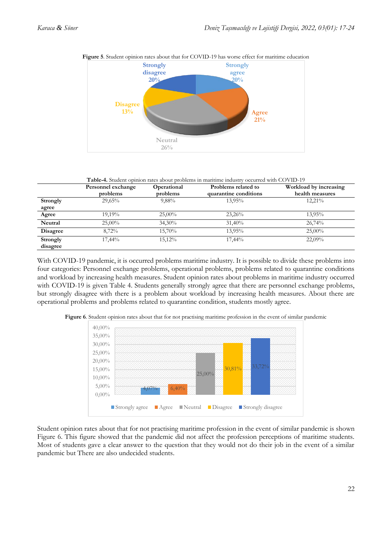

**Figure 5**. Student opinion rates about that for COVID-19 has worse effect for maritime education

**Table-4.** Student opinion rates about problems in maritime industry occurred with COVID-19

|                      | Personnel exchange<br>problems | Operational<br>problems | Problems related to<br>quarantine conditions | Workload by increasing<br>health measures |
|----------------------|--------------------------------|-------------------------|----------------------------------------------|-------------------------------------------|
| Strongly             | 29,65%                         | 9,88%                   | 13,95%                                       | $12,21\%$                                 |
| agree                |                                |                         |                                              |                                           |
| Agree                | 19.19%                         | $25,00\%$               | 23,26%                                       | $13.95\%$                                 |
| Neutral              | $25,00\%$                      | $34,30\%$               | 31,40%                                       | 26,74%                                    |
| <b>Disagree</b>      | 8,72%                          | 15,70%                  | 13.95%                                       | $25,00\%$                                 |
| Strongly<br>disagree | 17,44%                         | 15.12%                  | 17,44%                                       | 22,09%                                    |

With COVID-19 pandemic, it is occurred problems maritime industry. It is possible to divide these problems into four categories: Personnel exchange problems, operational problems, problems related to quarantine conditions and workload by increasing health measures. Student opinion rates about problems in maritime industry occurred with COVID-19 is given Table 4. Students generally strongly agree that there are personnel exchange problems, but strongly disagree with there is a problem about workload by increasing health measures. About there are operational problems and problems related to quarantine condition, students mostly agree.



**Figure 6**. Student opinion rates about that for not practising maritime profession in the event of similar pandemic

Student opinion rates about that for not practising maritime profession in the event of similar pandemic is shown Figure 6. This figure showed that the pandemic did not affect the profession perceptions of maritime students. Most of students gave a clear answer to the question that they would not do their job in the event of a similar pandemic but There are also undecided students.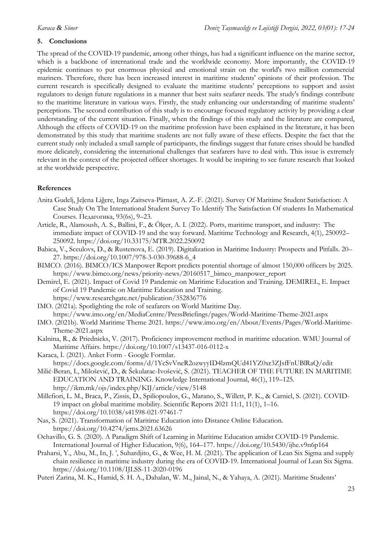## **5. Conclusions**

The spread of the COVID-19 pandemic, among other things, has had a significant influence on the marine sector, which is a backbone of international trade and the worldwide economy. More importantly, the COVID-19 epidemic continues to put enormous physical and emotional strain on the world's two million commercial mariners. Therefore, there has been increased interest in maritime students' opinions of their profession. The current research is specifically designed to evaluate the maritime students' perceptions to support and assist regulators to design future regulations in a manner that best suits seafarer needs. The study's findings contribute to the maritime literature in various ways. Firstly, the study enhancing our understanding of maritime students' perceptions. The second contribution of this study is to encourage focused regulatory activity by providing a clear understanding of the current situation. Finally, when the findings of this study and the literature are compared, Although the effects of COVID-19 on the maritime profession have been explained in the literature, it has been demonstrated by this study that maritime students are not fully aware of these effects. Despite the fact that the current study only included a small sample of participants, the findings suggest that future crises should be handled more delicately, considering the international challenges that seafarers have to deal with. This issue is extremely relevant in the context of the projected officer shortages. It would be inspiring to see future research that looked at the worldwide perspective.

## **References**

- Anita Gudelj, Jeļena Liģere, Inga Zaitseva-Pärnast, A. Z.-F. (2021). Survey Of Maritime Student Satisfaction: A Сase Study On The International Student Survey To Identify The Satisfaction Of students In Mathematical Courses. Педагогика, 93(6s), 9–23.
- Article, R., Alamoush, A. S., Ballini, F., & Ölçer, A. I. (2022). Ports, maritime transport, and industry: The immediate impact of COVID-19 and the way forward. Maritime Technology and Research, 4(1), 250092– 250092. https://doi.org/10.33175/MTR.2022.250092
- Babica, V., Sceulovs, D., & Rustenova, E. (2019). Digitalization in Maritime Industry: Prospects and Pitfalls. 20– 27. https://doi.org/10.1007/978-3-030-39688-6\_4
- BIMCO. (2016). BIMCO/ICS Manpower Report predicts potential shortage of almost 150,000 officers by 2025. https://www.bimco.org/news/priority-news/20160517\_bimco\_manpower\_report
- Demirel, E. (2021). Impact of Covid 19 Pandemic on Maritime Education and Training. DEMIREL, E. Impact of Covid 19 Pandemic on Maritime Education and Training. https://www.researchgate.net/publication/352836776
- IMO. (2021a). Spotlighting the role of seafarers on World Maritime Day. https://www.imo.org/en/MediaCentre/PressBriefings/pages/World-Maritime-Theme-2021.aspx
- IMO. (2021b). World Maritime Theme 2021. https://www.imo.org/en/About/Events/Pages/World-Maritime-Theme-2021.aspx
- Kalnina, R., & Priednieks, V. (2017). Proficiency improvement method in maritime education. WMU Journal of Maritime Affairs. https://doi.org/10.1007/s13437-016-0112-x
- Karaca, İ. (2021). Anket Form Google Formlar. https://docs.google.com/forms/d/1YcSvVneR2ozwyyID4lzmQUd41YZ0xr3ZJsfFnUBlRaQ/edit
- Milić-Beran, I., Milošević, D., & Šekularac-Ivošević, S. (2021). TEACHER OF THE FUTURE IN MARITIME EDUCATION AND TRAINING. Knowledge International Journal, 46(1), 119–125. http://ikm.mk/ojs/index.php/KIJ/article/view/5148
- Millefiori, L. M., Braca, P., Zissis, D., Spiliopoulos, G., Marano, S., Willett, P. K., & Carniel, S. (2021). COVID-19 impact on global maritime mobility. Scientific Reports 2021 11:1, 11(1), 1–16. https://doi.org/10.1038/s41598-021-97461-7
- Nas, S. (2021). Transformation of Maritime Education into Distance Online Education. https://doi.org/10.4274/jems.2021.63626
- Ochavillo, G. S. (2020). A Paradigm Shift of Learning in Maritime Education amidst COVID-19 Pandemic. International Journal of Higher Education, 9(6), 164–177. https://doi.org/10.5430/ijhe.v9n6p164
- Praharsi, Y., Abu, M., In, J. ', Suhardjito, G., & Wee, H. M. (2021). The application of Lean Six Sigma and supply chain resilience in maritime industry during the era of COVID-19. International Journal of Lean Six Sigma. https://doi.org/10.1108/IJLSS-11-2020-0196

Puteri Zarina, M. K., Hamid, S. H. A., Dahalan, W. M., Jainal, N., & Yahaya, A. (2021). Maritime Students'